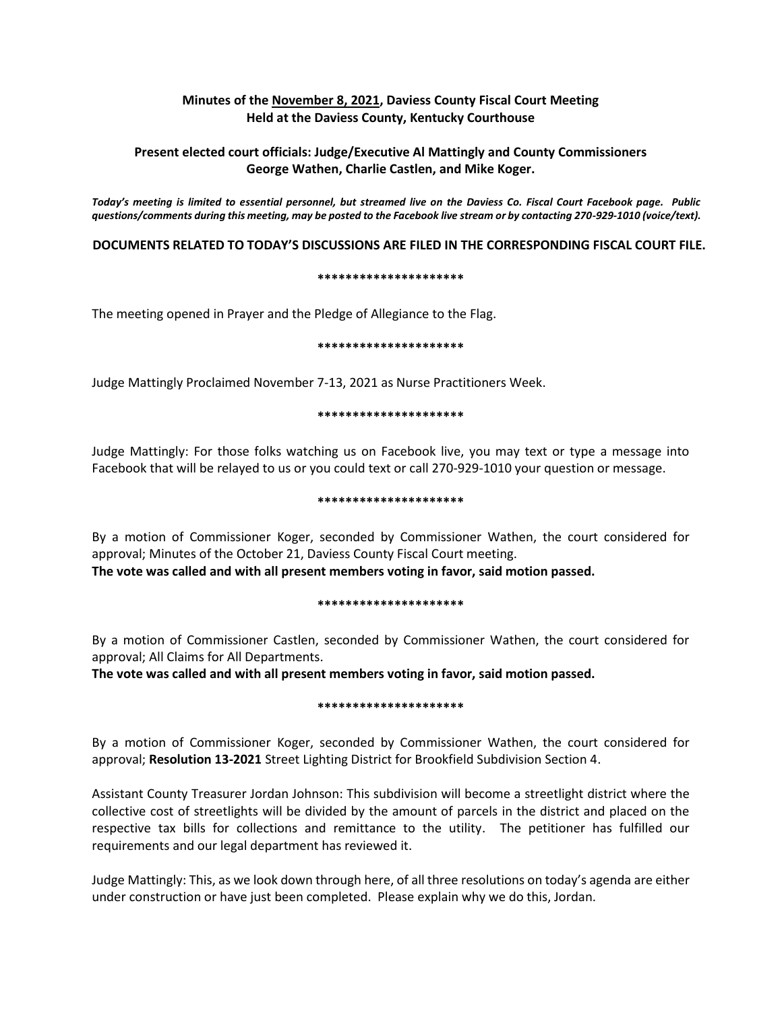## **Minutes of the November 8, 2021, Daviess County Fiscal Court Meeting Held at the Daviess County, Kentucky Courthouse**

# **Present elected court officials: Judge/Executive Al Mattingly and County Commissioners George Wathen, Charlie Castlen, and Mike Koger.**

*Today's meeting is limited to essential personnel, but streamed live on the Daviess Co. Fiscal Court Facebook page. Public questions/comments during this meeting, may be posted to the Facebook live stream or by contacting 270-929-1010 (voice/text).*

## **DOCUMENTS RELATED TO TODAY'S DISCUSSIONS ARE FILED IN THE CORRESPONDING FISCAL COURT FILE.**

### **\*\*\*\*\*\*\*\*\*\*\*\*\*\*\*\*\*\*\*\*\***

The meeting opened in Prayer and the Pledge of Allegiance to the Flag.

### **\*\*\*\*\*\*\*\*\*\*\*\*\*\*\*\*\*\*\*\*\***

Judge Mattingly Proclaimed November 7-13, 2021 as Nurse Practitioners Week.

### **\*\*\*\*\*\*\*\*\*\*\*\*\*\*\*\*\*\*\*\*\***

Judge Mattingly: For those folks watching us on Facebook live, you may text or type a message into Facebook that will be relayed to us or you could text or call 270-929-1010 your question or message.

### **\*\*\*\*\*\*\*\*\*\*\*\*\*\*\*\*\*\*\*\*\***

By a motion of Commissioner Koger, seconded by Commissioner Wathen, the court considered for approval; Minutes of the October 21, Daviess County Fiscal Court meeting. **The vote was called and with all present members voting in favor, said motion passed.** 

### **\*\*\*\*\*\*\*\*\*\*\*\*\*\*\*\*\*\*\*\*\***

By a motion of Commissioner Castlen, seconded by Commissioner Wathen, the court considered for approval; All Claims for All Departments.

**The vote was called and with all present members voting in favor, said motion passed.** 

### **\*\*\*\*\*\*\*\*\*\*\*\*\*\*\*\*\*\*\*\*\***

By a motion of Commissioner Koger, seconded by Commissioner Wathen, the court considered for approval; **Resolution 13-2021** Street Lighting District for Brookfield Subdivision Section 4.

Assistant County Treasurer Jordan Johnson: This subdivision will become a streetlight district where the collective cost of streetlights will be divided by the amount of parcels in the district and placed on the respective tax bills for collections and remittance to the utility. The petitioner has fulfilled our requirements and our legal department has reviewed it.

Judge Mattingly: This, as we look down through here, of all three resolutions on today's agenda are either under construction or have just been completed. Please explain why we do this, Jordan.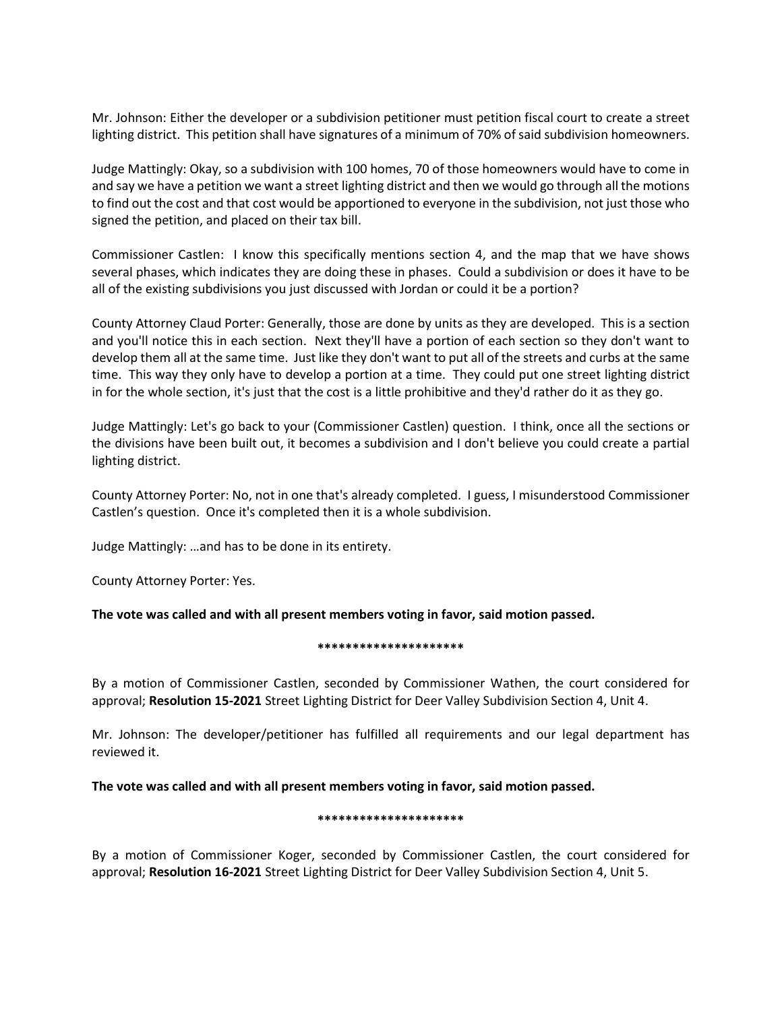Mr. Johnson: Either the developer or a subdivision petitioner must petition fiscal court to create a street lighting district. This petition shall have signatures of a minimum of 70% of said subdivision homeowners.

Judge Mattingly: Okay, so a subdivision with 100 homes, 70 of those homeowners would have to come in and say we have a petition we want a street lighting district and then we would go through all the motions to find out the cost and that cost would be apportioned to everyone in the subdivision, not just those who signed the petition, and placed on their tax bill.

Commissioner Castlen: I know this specifically mentions section 4, and the map that we have shows several phases, which indicates they are doing these in phases. Could a subdivision or does it have to be all of the existing subdivisions you just discussed with Jordan or could it be a portion?

County Attorney Claud Porter: Generally, those are done by units as they are developed. This is a section and you'll notice this in each section. Next they'll have a portion of each section so they don't want to develop them all at the same time. Just like they don't want to put all of the streets and curbs at the same time. This way they only have to develop a portion at a time. They could put one street lighting district in for the whole section, it's just that the cost is a little prohibitive and they'd rather do it as they go.

Judge Mattingly: Let's go back to your (Commissioner Castlen) question. I think, once all the sections or the divisions have been built out, it becomes a subdivision and I don't believe you could create a partial lighting district.

County Attorney Porter: No, not in one that's already completed. I guess, I misunderstood Commissioner Castlen's question. Once it's completed then it is a whole subdivision.

Judge Mattingly: …and has to be done in its entirety.

County Attorney Porter: Yes.

# **The vote was called and with all present members voting in favor, said motion passed.**

## **\*\*\*\*\*\*\*\*\*\*\*\*\*\*\*\*\*\*\*\*\***

By a motion of Commissioner Castlen, seconded by Commissioner Wathen, the court considered for approval; **Resolution 15-2021** Street Lighting District for Deer Valley Subdivision Section 4, Unit 4.

Mr. Johnson: The developer/petitioner has fulfilled all requirements and our legal department has reviewed it.

## **The vote was called and with all present members voting in favor, said motion passed.**

## **\*\*\*\*\*\*\*\*\*\*\*\*\*\*\*\*\*\*\*\*\***

By a motion of Commissioner Koger, seconded by Commissioner Castlen, the court considered for approval; **Resolution 16-2021** Street Lighting District for Deer Valley Subdivision Section 4, Unit 5.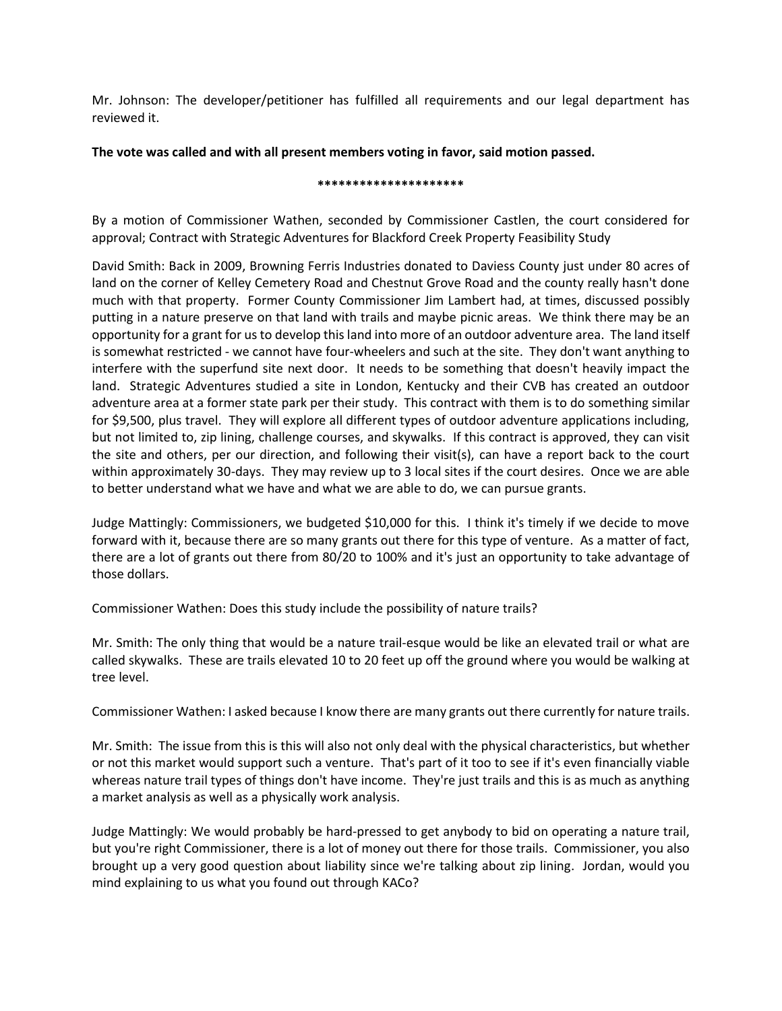Mr. Johnson: The developer/petitioner has fulfilled all requirements and our legal department has reviewed it.

## **The vote was called and with all present members voting in favor, said motion passed.**

### **\*\*\*\*\*\*\*\*\*\*\*\*\*\*\*\*\*\*\*\*\***

By a motion of Commissioner Wathen, seconded by Commissioner Castlen, the court considered for approval; Contract with Strategic Adventures for Blackford Creek Property Feasibility Study

David Smith: Back in 2009, Browning Ferris Industries donated to Daviess County just under 80 acres of land on the corner of Kelley Cemetery Road and Chestnut Grove Road and the county really hasn't done much with that property. Former County Commissioner Jim Lambert had, at times, discussed possibly putting in a nature preserve on that land with trails and maybe picnic areas. We think there may be an opportunity for a grant for us to develop this land into more of an outdoor adventure area. The land itself is somewhat restricted - we cannot have four-wheelers and such at the site. They don't want anything to interfere with the superfund site next door. It needs to be something that doesn't heavily impact the land. Strategic Adventures studied a site in London, Kentucky and their CVB has created an outdoor adventure area at a former state park per their study. This contract with them is to do something similar for \$9,500, plus travel. They will explore all different types of outdoor adventure applications including, but not limited to, zip lining, challenge courses, and skywalks. If this contract is approved, they can visit the site and others, per our direction, and following their visit(s), can have a report back to the court within approximately 30-days. They may review up to 3 local sites if the court desires. Once we are able to better understand what we have and what we are able to do, we can pursue grants.

Judge Mattingly: Commissioners, we budgeted \$10,000 for this. I think it's timely if we decide to move forward with it, because there are so many grants out there for this type of venture. As a matter of fact, there are a lot of grants out there from 80/20 to 100% and it's just an opportunity to take advantage of those dollars.

Commissioner Wathen: Does this study include the possibility of nature trails?

Mr. Smith: The only thing that would be a nature trail-esque would be like an elevated trail or what are called skywalks. These are trails elevated 10 to 20 feet up off the ground where you would be walking at tree level.

Commissioner Wathen: I asked because I know there are many grants out there currently for nature trails.

Mr. Smith: The issue from this is this will also not only deal with the physical characteristics, but whether or not this market would support such a venture. That's part of it too to see if it's even financially viable whereas nature trail types of things don't have income. They're just trails and this is as much as anything a market analysis as well as a physically work analysis.

Judge Mattingly: We would probably be hard-pressed to get anybody to bid on operating a nature trail, but you're right Commissioner, there is a lot of money out there for those trails. Commissioner, you also brought up a very good question about liability since we're talking about zip lining. Jordan, would you mind explaining to us what you found out through KACo?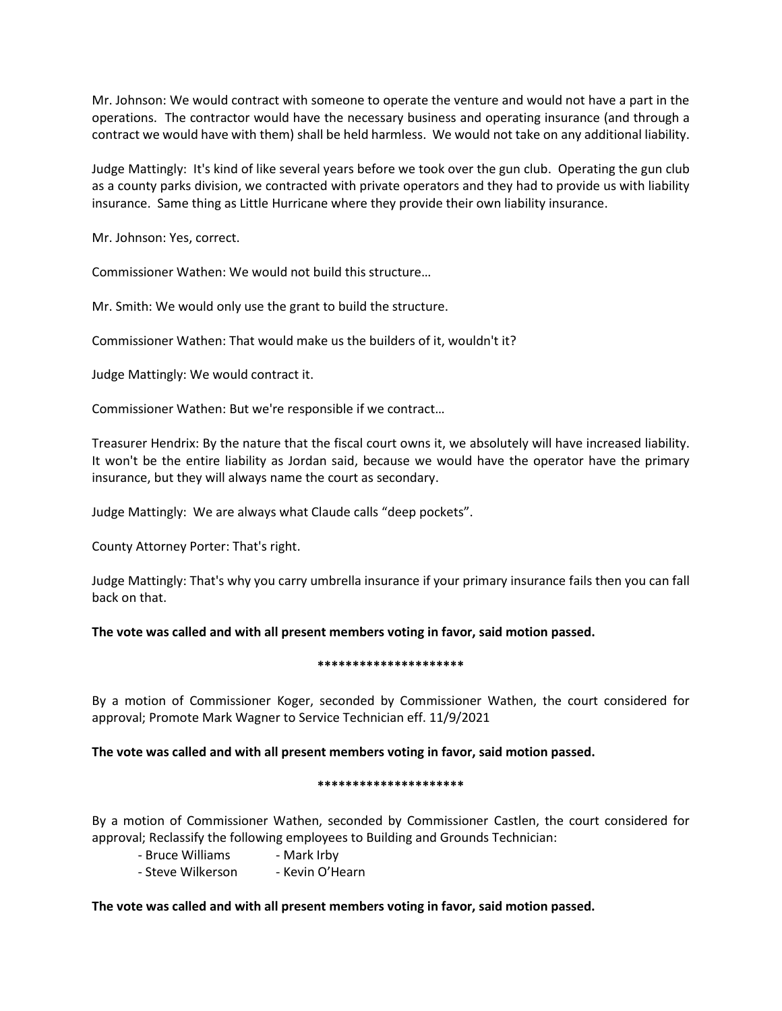Mr. Johnson: We would contract with someone to operate the venture and would not have a part in the operations. The contractor would have the necessary business and operating insurance (and through a contract we would have with them) shall be held harmless. We would not take on any additional liability.

Judge Mattingly: It's kind of like several years before we took over the gun club. Operating the gun club as a county parks division, we contracted with private operators and they had to provide us with liability insurance. Same thing as Little Hurricane where they provide their own liability insurance.

Mr. Johnson: Yes, correct.

Commissioner Wathen: We would not build this structure…

Mr. Smith: We would only use the grant to build the structure.

Commissioner Wathen: That would make us the builders of it, wouldn't it?

Judge Mattingly: We would contract it.

Commissioner Wathen: But we're responsible if we contract…

Treasurer Hendrix: By the nature that the fiscal court owns it, we absolutely will have increased liability. It won't be the entire liability as Jordan said, because we would have the operator have the primary insurance, but they will always name the court as secondary.

Judge Mattingly: We are always what Claude calls "deep pockets".

County Attorney Porter: That's right.

Judge Mattingly: That's why you carry umbrella insurance if your primary insurance fails then you can fall back on that.

**The vote was called and with all present members voting in favor, said motion passed.**

## **\*\*\*\*\*\*\*\*\*\*\*\*\*\*\*\*\*\*\*\*\***

By a motion of Commissioner Koger, seconded by Commissioner Wathen, the court considered for approval; Promote Mark Wagner to Service Technician eff. 11/9/2021

## **The vote was called and with all present members voting in favor, said motion passed.**

## **\*\*\*\*\*\*\*\*\*\*\*\*\*\*\*\*\*\*\*\*\***

By a motion of Commissioner Wathen, seconded by Commissioner Castlen, the court considered for approval; Reclassify the following employees to Building and Grounds Technician:

- Bruce Williams Mark Irby
- Steve Wilkerson Kevin O'Hearn

## **The vote was called and with all present members voting in favor, said motion passed.**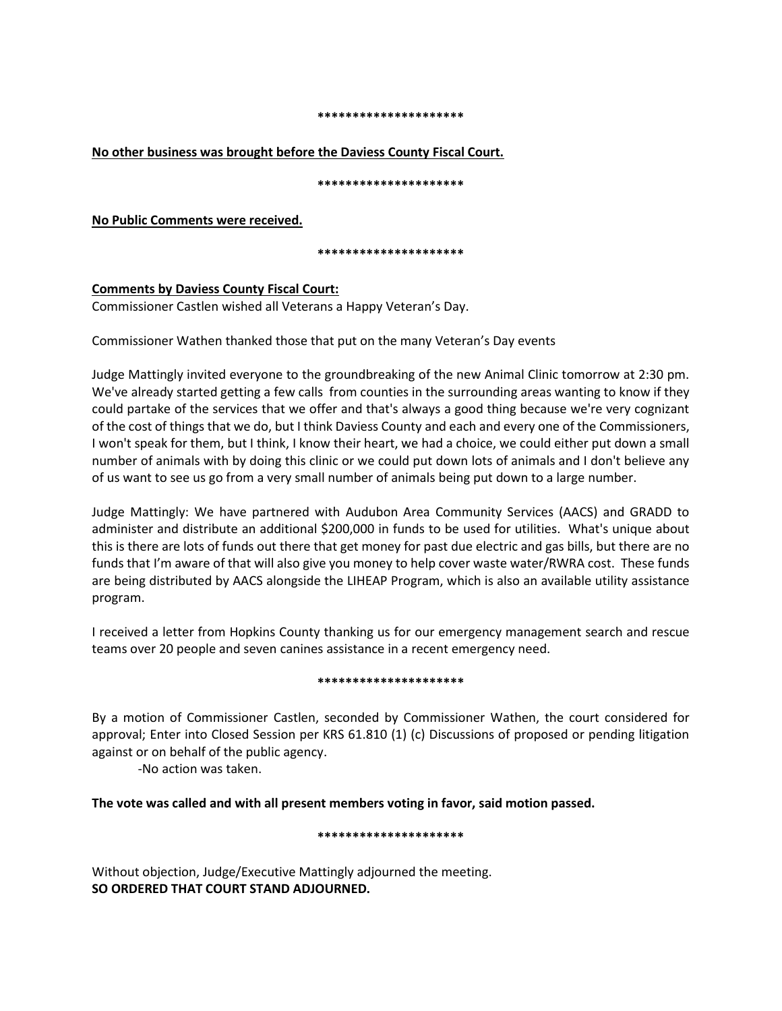#### **\*\*\*\*\*\*\*\*\*\*\*\*\*\*\*\*\*\*\*\*\***

## **No other business was brought before the Daviess County Fiscal Court.**

**\*\*\*\*\*\*\*\*\*\*\*\*\*\*\*\*\*\*\*\*\***

**No Public Comments were received.** 

**\*\*\*\*\*\*\*\*\*\*\*\*\*\*\*\*\*\*\*\*\***

# **Comments by Daviess County Fiscal Court:**

Commissioner Castlen wished all Veterans a Happy Veteran's Day.

Commissioner Wathen thanked those that put on the many Veteran's Day events

Judge Mattingly invited everyone to the groundbreaking of the new Animal Clinic tomorrow at 2:30 pm. We've already started getting a few calls from counties in the surrounding areas wanting to know if they could partake of the services that we offer and that's always a good thing because we're very cognizant of the cost of things that we do, but I think Daviess County and each and every one of the Commissioners, I won't speak for them, but I think, I know their heart, we had a choice, we could either put down a small number of animals with by doing this clinic or we could put down lots of animals and I don't believe any of us want to see us go from a very small number of animals being put down to a large number.

Judge Mattingly: We have partnered with Audubon Area Community Services (AACS) and GRADD to administer and distribute an additional \$200,000 in funds to be used for utilities. What's unique about this is there are lots of funds out there that get money for past due electric and gas bills, but there are no funds that I'm aware of that will also give you money to help cover waste water/RWRA cost. These funds are being distributed by AACS alongside the LIHEAP Program, which is also an available utility assistance program.

I received a letter from Hopkins County thanking us for our emergency management search and rescue teams over 20 people and seven canines assistance in a recent emergency need.

## **\*\*\*\*\*\*\*\*\*\*\*\*\*\*\*\*\*\*\*\*\***

By a motion of Commissioner Castlen, seconded by Commissioner Wathen, the court considered for approval; Enter into Closed Session per KRS 61.810 (1) (c) Discussions of proposed or pending litigation against or on behalf of the public agency.

-No action was taken.

**The vote was called and with all present members voting in favor, said motion passed.**

## **\*\*\*\*\*\*\*\*\*\*\*\*\*\*\*\*\*\*\*\*\***

Without objection, Judge/Executive Mattingly adjourned the meeting. **SO ORDERED THAT COURT STAND ADJOURNED.**